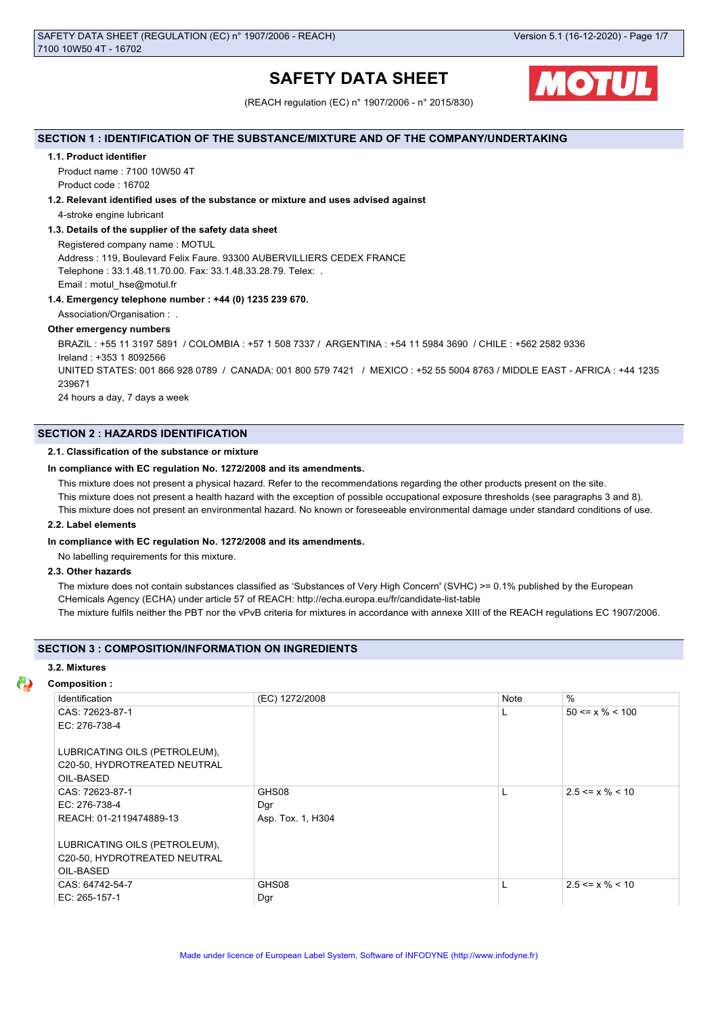# **SAFETY DATA SHEET**



(REACH regulation (EC) n° 1907/2006 - n° 2015/830)

# **SECTION 1 : IDENTIFICATION OF THE SUBSTANCE/MIXTURE AND OF THE COMPANY/UNDERTAKING**

#### **1.1. Product identifier**

Product name : 7100 10W50 4T Product code : 16702

# **1.2. Relevant identified uses of the substance or mixture and uses advised against**

4-stroke engine lubricant

# **1.3. Details of the supplier of the safety data sheet**

Registered company name : MOTUL Address : 119, Boulevard Felix Faure. 93300 AUBERVILLIERS CEDEX FRANCE Telephone : 33.1.48.11.70.00. Fax: 33.1.48.33.28.79. Telex: . Email : motul\_hse@motul.fr

# **1.4. Emergency telephone number : +44 (0) 1235 239 670.**

Association/Organisation : .

# **Other emergency numbers**

BRAZIL : +55 11 3197 5891 / COLOMBIA : +57 1 508 7337 / ARGENTINA : +54 11 5984 3690 / CHILE : +562 2582 9336 Ireland : +353 1 8092566 UNITED STATES: 001 866 928 0789 / CANADA: 001 800 579 7421 / MEXICO : +52 55 5004 8763 / MIDDLE EAST - AFRICA : +44 1235 239671 24 hours a day, 7 days a week

# **SECTION 2 : HAZARDS IDENTIFICATION**

# **2.1. Classification of the substance or mixture**

### **In compliance with EC regulation No. 1272/2008 and its amendments.**

This mixture does not present a physical hazard. Refer to the recommendations regarding the other products present on the site.

This mixture does not present a health hazard with the exception of possible occupational exposure thresholds (see paragraphs 3 and 8).

This mixture does not present an environmental hazard. No known or foreseeable environmental damage under standard conditions of use.

#### **2.2. Label elements**

#### **In compliance with EC regulation No. 1272/2008 and its amendments.**

No labelling requirements for this mixture.

# **2.3. Other hazards**

The mixture does not contain substances classified as 'Substances of Very High Concern' (SVHC) >= 0.1% published by the European CHemicals Agency (ECHA) under article 57 of REACH: http://echa.europa.eu/fr/candidate-list-table

The mixture fulfils neither the PBT nor the vPvB criteria for mixtures in accordance with annexe XIII of the REACH regulations EC 1907/2006.

# **SECTION 3 : COMPOSITION/INFORMATION ON INGREDIENTS**

# **3.2. Mixtures**

# **Composition :**

| Identification                | (EC) 1272/2008    | Note | $\%$                  |
|-------------------------------|-------------------|------|-----------------------|
| CAS: 72623-87-1               |                   |      | $50 \le x \% \le 100$ |
| EC: 276-738-4                 |                   |      |                       |
|                               |                   |      |                       |
| LUBRICATING OILS (PETROLEUM), |                   |      |                       |
| C20-50, HYDROTREATED NEUTRAL  |                   |      |                       |
| OIL-BASED                     |                   |      |                       |
| CAS: 72623-87-1               | GHS08             |      | $2.5 \le x \% \le 10$ |
| $EC: 276-738-4$               | Dgr               |      |                       |
| REACH: 01-2119474889-13       | Asp. Tox. 1, H304 |      |                       |
|                               |                   |      |                       |
| LUBRICATING OILS (PETROLEUM), |                   |      |                       |
| C20-50, HYDROTREATED NEUTRAL  |                   |      |                       |
| OIL-BASED                     |                   |      |                       |
| CAS: 64742-54-7               | GHS08             |      | $2.5 \le x \% \le 10$ |
| EC: 265-157-1                 | Dgr               |      |                       |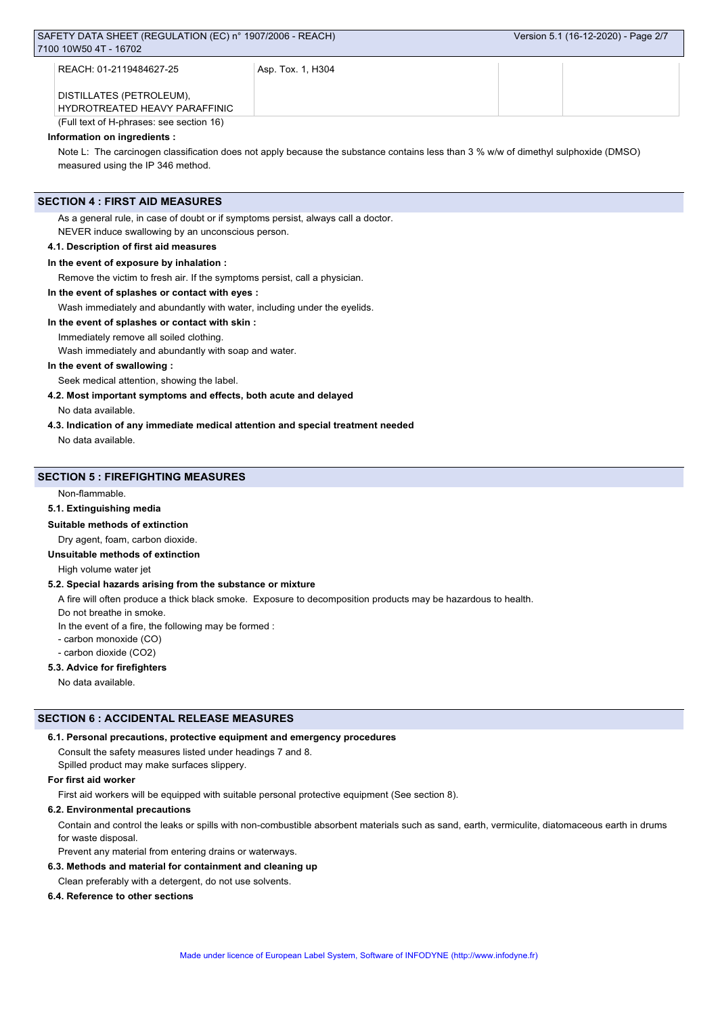| REACH: 01-2119484627-25                                   | Asp. Tox. 1, H304 |  |
|-----------------------------------------------------------|-------------------|--|
| DISTILLATES (PETROLEUM),<br>HYDROTREATED HEAVY PARAFFINIC |                   |  |
| (Full text of H-phrases: see section 16)                  |                   |  |

### **Information on ingredients :**

Note L: The carcinogen classification does not apply because the substance contains less than 3 % w/w of dimethyl sulphoxide (DMSO) measured using the IP 346 method.

# **SECTION 4 : FIRST AID MEASURES**

As a general rule, in case of doubt or if symptoms persist, always call a doctor. NEVER induce swallowing by an unconscious person.

#### **4.1. Description of first aid measures**

#### **In the event of exposure by inhalation :**

Remove the victim to fresh air. If the symptoms persist, call a physician.

# **In the event of splashes or contact with eyes :**

Wash immediately and abundantly with water, including under the eyelids.

# **In the event of splashes or contact with skin :**

Immediately remove all soiled clothing.

Wash immediately and abundantly with soap and water.

### **In the event of swallowing :**

Seek medical attention, showing the label.

### **4.2. Most important symptoms and effects, both acute and delayed**

No data available.

# **4.3. Indication of any immediate medical attention and special treatment needed**

No data available.

# **SECTION 5 : FIREFIGHTING MEASURES**

#### Non-flammable.

#### **5.1. Extinguishing media**

#### **Suitable methods of extinction**

Dry agent, foam, carbon dioxide.

#### **Unsuitable methods of extinction**

High volume water jet

#### **5.2. Special hazards arising from the substance or mixture**

A fire will often produce a thick black smoke. Exposure to decomposition products may be hazardous to health.

Do not breathe in smoke.

In the event of a fire, the following may be formed :

- carbon monoxide (CO)

- carbon dioxide (CO2)

#### **5.3. Advice for firefighters**

No data available.

# **SECTION 6 : ACCIDENTAL RELEASE MEASURES**

#### **6.1. Personal precautions, protective equipment and emergency procedures**

Consult the safety measures listed under headings 7 and 8.

Spilled product may make surfaces slippery.

# **For first aid worker**

First aid workers will be equipped with suitable personal protective equipment (See section 8).

# **6.2. Environmental precautions**

Contain and control the leaks or spills with non-combustible absorbent materials such as sand, earth, vermiculite, diatomaceous earth in drums for waste disposal.

Prevent any material from entering drains or waterways.

# **6.3. Methods and material for containment and cleaning up**

Clean preferably with a detergent, do not use solvents.

#### **6.4. Reference to other sections**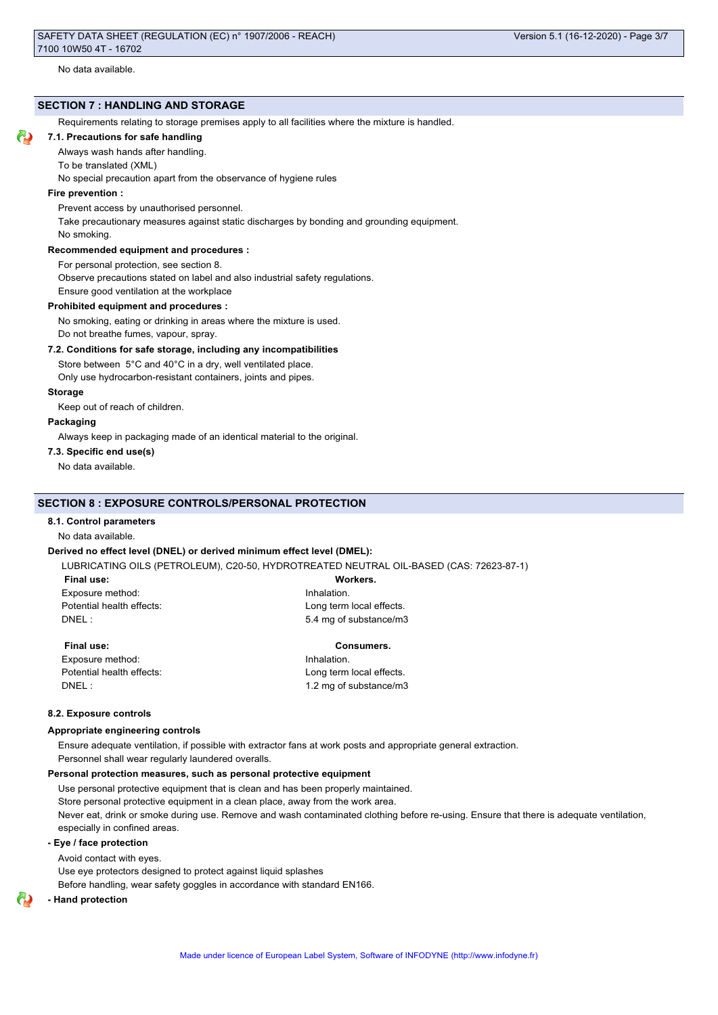# **SECTION 7 : HANDLING AND STORAGE**

Requirements relating to storage premises apply to all facilities where the mixture is handled.

#### **7.1. Precautions for safe handling**

Always wash hands after handling.

#### To be translated (XML)

No special precaution apart from the observance of hygiene rules

#### **Fire prevention :**

Prevent access by unauthorised personnel.

Take precautionary measures against static discharges by bonding and grounding equipment. No smoking.

#### **Recommended equipment and procedures :**

For personal protection, see section 8.

Observe precautions stated on label and also industrial safety regulations.

Ensure good ventilation at the workplace

### **Prohibited equipment and procedures :**

No smoking, eating or drinking in areas where the mixture is used.

Do not breathe fumes, vapour, spray.

#### **7.2. Conditions for safe storage, including any incompatibilities**

Store between 5°C and 40°C in a dry, well ventilated place.

#### Only use hydrocarbon-resistant containers, joints and pipes.

#### **Storage**

Keep out of reach of children.

#### **Packaging**

Always keep in packaging made of an identical material to the original.

#### **7.3. Specific end use(s)**

No data available.

#### **SECTION 8 : EXPOSURE CONTROLS/PERSONAL PROTECTION**

#### **8.1. Control parameters**

#### No data available.

#### **Derived no effect level (DNEL) or derived minimum effect level (DMEL):**

LUBRICATING OILS (PETROLEUM), C20-50, HYDROTREATED NEUTRAL OIL-BASED (CAS: 72623-87-1)

| Final use:                | Workers.                 |
|---------------------------|--------------------------|
| Exposure method:          | Inhalation.              |
| Potential health effects: | Long term local effects. |
| DNEL :                    | 5.4 mg of substance/m3   |

Exposure method: **Inhalation** 

#### **Final use: Consumers.**

Potential health effects: Long term local effects. DNEL : 1.2 mg of substance/m3

#### **8.2. Exposure controls**

#### **Appropriate engineering controls**

Ensure adequate ventilation, if possible with extractor fans at work posts and appropriate general extraction. Personnel shall wear regularly laundered overalls.

#### **Personal protection measures, such as personal protective equipment**

Use personal protective equipment that is clean and has been properly maintained. Store personal protective equipment in a clean place, away from the work area. Never eat, drink or smoke during use. Remove and wash contaminated clothing before re-using. Ensure that there is adequate ventilation, especially in confined areas.

### **- Eye / face protection**

Avoid contact with eyes.

Use eye protectors designed to protect against liquid splashes Before handling, wear safety goggles in accordance with standard EN166.

# **- Hand protection**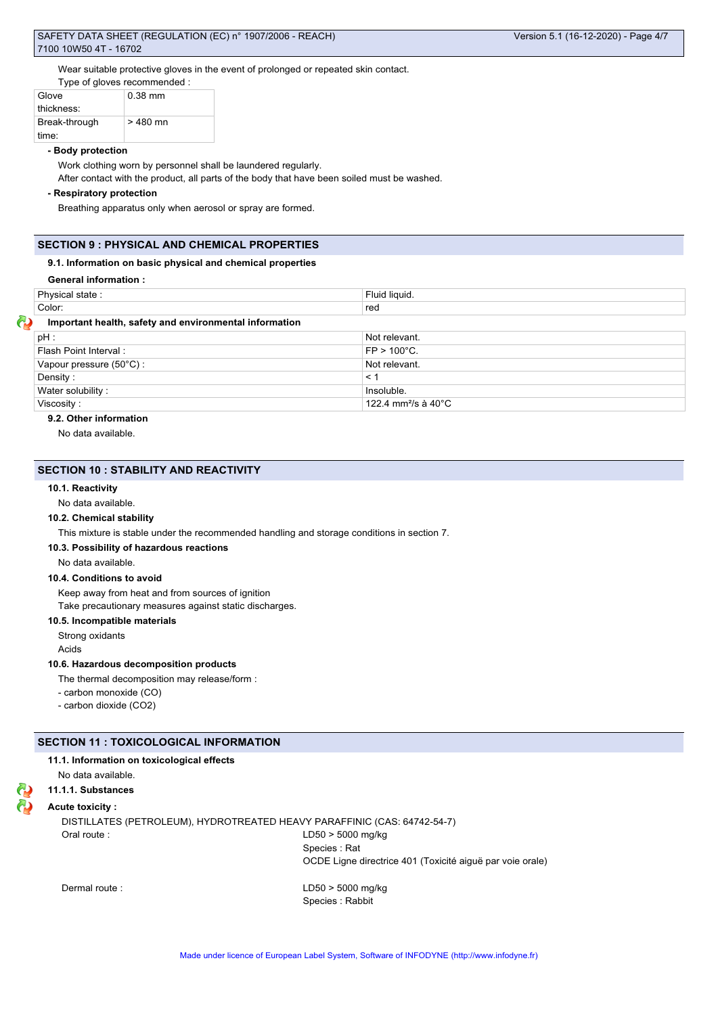Wear suitable protective gloves in the event of prolonged or repeated skin contact. Type of gloves recommended :

| <u>I ype of gioves recommented.</u> |           |  |  |  |
|-------------------------------------|-----------|--|--|--|
| Glove                               | $0.38$ mm |  |  |  |
| thickness:                          |           |  |  |  |
| Break-through                       | > 480 mn  |  |  |  |
| time:                               |           |  |  |  |

#### **- Body protection**

Work clothing worn by personnel shall be laundered regularly.

After contact with the product, all parts of the body that have been soiled must be washed.

### **- Respiratory protection**

Breathing apparatus only when aerosol or spray are formed.

# **SECTION 9 : PHYSICAL AND CHEMICAL PROPERTIES**

#### **9.1. Information on basic physical and chemical properties**

**General information :**

| Physical state:                                        | Fluid liquid.         |  |  |
|--------------------------------------------------------|-----------------------|--|--|
| Color:                                                 | red                   |  |  |
| Important health, safety and environmental information |                       |  |  |
| $pH$ :                                                 | Not relevant.         |  |  |
| Flash Point Interval:                                  | $FP > 100^{\circ}C$ . |  |  |
| Vapour pressure (50°C):                                | Not relevant.         |  |  |
| Density:                                               | < 1                   |  |  |
| Water solubility:                                      | Insoluble.            |  |  |
| Viscosity:                                             | 122.4 mm²/s à 40°C    |  |  |
| $\sim$ $\sim$ $\sim$ $\sim$ $\sim$ $\sim$              |                       |  |  |

# **9.2. Other information**

No data available.

# **SECTION 10 : STABILITY AND REACTIVITY**

#### **10.1. Reactivity**

No data available.

#### **10.2. Chemical stability**

This mixture is stable under the recommended handling and storage conditions in section 7.

#### **10.3. Possibility of hazardous reactions**

No data available.

#### **10.4. Conditions to avoid**

Keep away from heat and from sources of ignition

Take precautionary measures against static discharges.

#### **10.5. Incompatible materials**

Strong oxidants Acids

**10.6. Hazardous decomposition products**

The thermal decomposition may release/form :

- carbon monoxide (CO)

- carbon dioxide (CO2)

# **SECTION 11 : TOXICOLOGICAL INFORMATION**

# **11.1. Information on toxicological effects**

- No data available.
- **11.1.1. Substances**

# **Acute toxicity :**

DISTILLATES (PETROLEUM), HYDROTREATED HEAVY PARAFFINIC (CAS: 64742-54-7) Oral route : LD50 > 5000 mg/kg Species : Rat OCDE Ligne directrice 401 (Toxicité aiguë par voie orale)

Dermal route : LD50 > 5000 mg/kg Species : Rabbit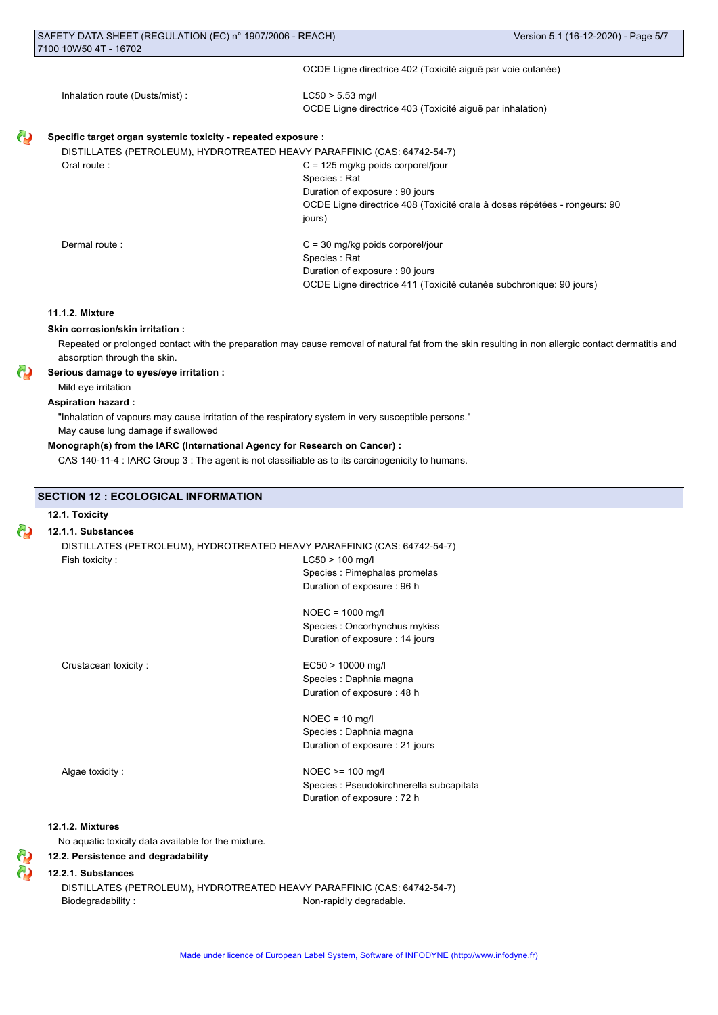OCDE Ligne directrice 402 (Toxicité aiguë par voie cutanée)

Inhalation route (Dusts/mist) : LC50 > 5.53 mg/l

OCDE Ligne directrice 403 (Toxicité aiguë par inhalation)

# **Specific target organ systemic toxicity - repeated exposure :**

DISTILLATES (PETROLEUM), HYDROTREATED HEAVY PARAFFINIC (CAS: 64742-54-7)

| Oral route: |  |
|-------------|--|
|             |  |

 $C = 125$  mg/kg poids corporel/jour Species : Rat Duration of exposure : 90 jours OCDE Ligne directrice 408 (Toxicité orale à doses répétées - rongeurs: 90 jours)

Dermal route : C = 30 mg/kg poids corporel/jour Species : Rat Duration of exposure : 90 jours OCDE Ligne directrice 411 (Toxicité cutanée subchronique: 90 jours)

# **11.1.2. Mixture**

#### **Skin corrosion/skin irritation :**

Repeated or prolonged contact with the preparation may cause removal of natural fat from the skin resulting in non allergic contact dermatitis and absorption through the skin.

# **Serious damage to eyes/eye irritation :**

Mild eye irritation

#### **Aspiration hazard :**

"Inhalation of vapours may cause irritation of the respiratory system in very susceptible persons." May cause lung damage if swallowed

#### **Monograph(s) from the IARC (International Agency for Research on Cancer) :**

CAS 140-11-4 : IARC Group 3 : The agent is not classifiable as to its carcinogenicity to humans.

# **SECTION 12 : ECOLOGICAL INFORMATION**

#### **12.1. Toxicity**

### **12.1.1. Substances**

DISTILLATES (PETROLEUM), HYDROTREATED HEAVY PARAFFINIC (CAS: 64742-54-7) Fish toxicity : LC50 > 100 mg/l

Species : Pimephales promelas Duration of exposure : 96 h

NOEC = 1000 mg/l Species : Oncorhynchus mykiss Duration of exposure : 14 jours

Crustacean toxicity : EC50 > 10000 mg/l

Species : Daphnia magna Duration of exposure : 48 h

 $NOEC = 10$  mg/l Species : Daphnia magna Duration of exposure : 21 jours

Algae toxicity :  $NOEC \ge 100$  mg/l Species : Pseudokirchnerella subcapitata Duration of exposure : 72 h

### **12.1.2. Mixtures**

No aquatic toxicity data available for the mixture.

#### **12.2. Persistence and degradability**

#### **12.2.1. Substances**

DISTILLATES (PETROLEUM), HYDROTREATED HEAVY PARAFFINIC (CAS: 64742-54-7) Biodegradability : Non-rapidly degradable.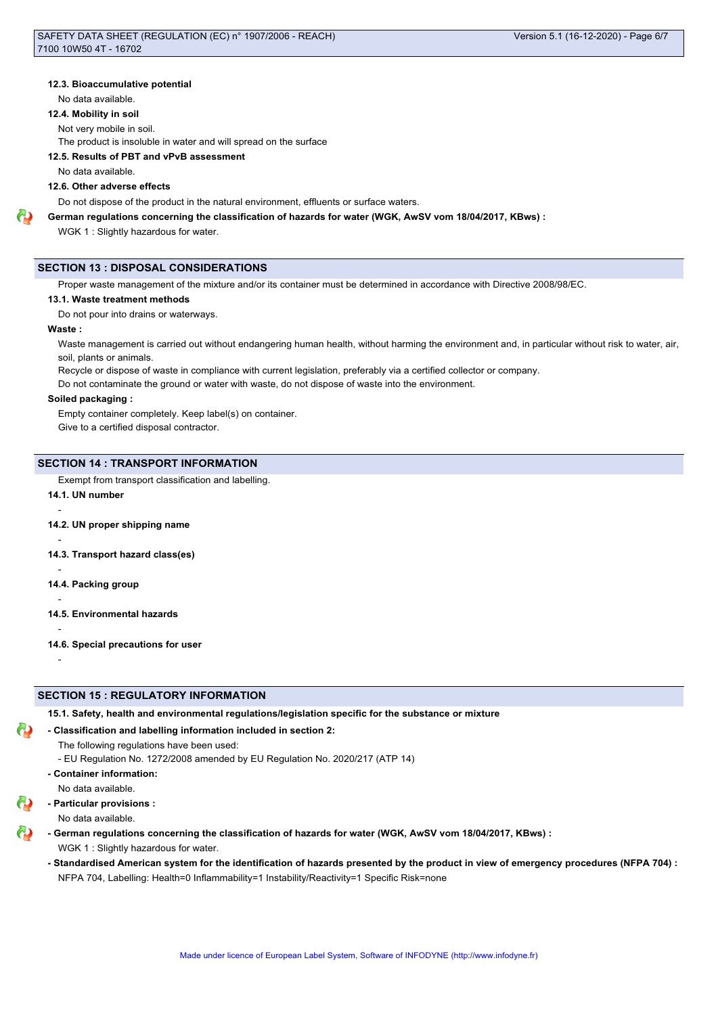#### **12.3. Bioaccumulative potential**

No data available.

# **12.4. Mobility in soil**

Not very mobile in soil.

The product is insoluble in water and will spread on the surface

#### **12.5. Results of PBT and vPvB assessment**

No data available.

#### **12.6. Other adverse effects**

Do not dispose of the product in the natural environment, effluents or surface waters.

#### **German regulations concerning the classification of hazards for water (WGK, AwSV vom 18/04/2017, KBws) :**

WGK 1 : Slightly hazardous for water.

### **SECTION 13 : DISPOSAL CONSIDERATIONS**

Proper waste management of the mixture and/or its container must be determined in accordance with Directive 2008/98/EC.

#### **13.1. Waste treatment methods**

Do not pour into drains or waterways.

#### **Waste :**

Waste management is carried out without endangering human health, without harming the environment and, in particular without risk to water, air, soil, plants or animals.

Recycle or dispose of waste in compliance with current legislation, preferably via a certified collector or company.

Do not contaminate the ground or water with waste, do not dispose of waste into the environment.

#### **Soiled packaging :**

Empty container completely. Keep label(s) on container. Give to a certified disposal contractor.

**SECTION 14 : TRANSPORT INFORMATION** Exempt from transport classification and labelling.

**14.1. UN number**

-

-

-

-

-

-

- **14.2. UN proper shipping name**
- **14.3. Transport hazard class(es)**
- **14.4. Packing group**
- **14.5. Environmental hazards**
- **14.6. Special precautions for user**

# **SECTION 15 : REGULATORY INFORMATION**

# **15.1. Safety, health and environmental regulations/legislation specific for the substance or mixture**

#### **- Classification and labelling information included in section 2:**

- The following regulations have been used:
- EU Regulation No. 1272/2008 amended by EU Regulation No. 2020/217 (ATP 14)
- **Container information:**
- No data available.
- **Particular provisions :**

No data available.

- **German regulations concerning the classification of hazards for water (WGK, AwSV vom 18/04/2017, KBws) :** WGK 1 : Slightly hazardous for water.
	- **Standardised American system for the identification of hazards presented by the product in view of emergency procedures (NFPA 704) :** NFPA 704, Labelling: Health=0 Inflammability=1 Instability/Reactivity=1 Specific Risk=none